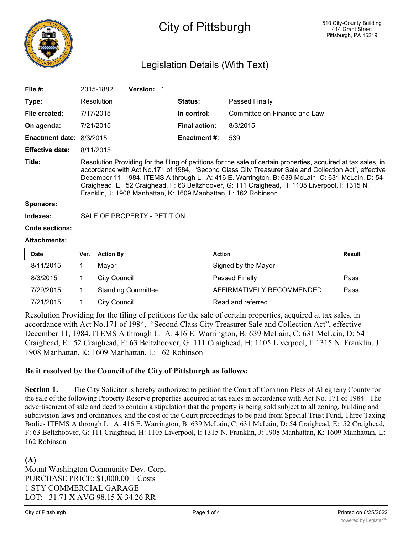

# City of Pittsburgh

## Legislation Details (With Text)

| File $#$ :               |                                                                                                                                                                                                                                                                                                                                                                                                                                                                                                | 2015-1882        | <b>Version: 1</b> |  |                      |                              |               |  |  |
|--------------------------|------------------------------------------------------------------------------------------------------------------------------------------------------------------------------------------------------------------------------------------------------------------------------------------------------------------------------------------------------------------------------------------------------------------------------------------------------------------------------------------------|------------------|-------------------|--|----------------------|------------------------------|---------------|--|--|
| Type:                    |                                                                                                                                                                                                                                                                                                                                                                                                                                                                                                | Resolution       |                   |  | <b>Status:</b>       | Passed Finally               |               |  |  |
| File created:            |                                                                                                                                                                                                                                                                                                                                                                                                                                                                                                | 7/17/2015        |                   |  | In control:          | Committee on Finance and Law |               |  |  |
| On agenda:               |                                                                                                                                                                                                                                                                                                                                                                                                                                                                                                | 7/21/2015        |                   |  | <b>Final action:</b> | 8/3/2015                     |               |  |  |
| Enactment date: 8/3/2015 |                                                                                                                                                                                                                                                                                                                                                                                                                                                                                                |                  |                   |  | <b>Enactment #:</b>  | 539                          |               |  |  |
| <b>Effective date:</b>   |                                                                                                                                                                                                                                                                                                                                                                                                                                                                                                | 8/11/2015        |                   |  |                      |                              |               |  |  |
| Title:                   | Resolution Providing for the filing of petitions for the sale of certain properties, acquired at tax sales, in<br>accordance with Act No.171 of 1984, "Second Class City Treasurer Sale and Collection Act", effective<br>December 11, 1984. ITEMS A through L. A: 416 E. Warrington, B: 639 McLain, C: 631 McLain, D: 54<br>Craighead, E: 52 Craighead, F: 63 Beltzhoover, G: 111 Craighead, H: 1105 Liverpool, I: 1315 N.<br>Franklin, J: 1908 Manhattan, K: 1609 Manhattan, L: 162 Robinson |                  |                   |  |                      |                              |               |  |  |
| Sponsors:                |                                                                                                                                                                                                                                                                                                                                                                                                                                                                                                |                  |                   |  |                      |                              |               |  |  |
| Indexes:                 | SALE OF PROPERTY - PETITION                                                                                                                                                                                                                                                                                                                                                                                                                                                                    |                  |                   |  |                      |                              |               |  |  |
| <b>Code sections:</b>    |                                                                                                                                                                                                                                                                                                                                                                                                                                                                                                |                  |                   |  |                      |                              |               |  |  |
| <b>Attachments:</b>      |                                                                                                                                                                                                                                                                                                                                                                                                                                                                                                |                  |                   |  |                      |                              |               |  |  |
| <b>Date</b>              | Ver.                                                                                                                                                                                                                                                                                                                                                                                                                                                                                           | <b>Action By</b> |                   |  | <b>Action</b>        |                              | <b>Result</b> |  |  |
| 8/11/2015                | 1                                                                                                                                                                                                                                                                                                                                                                                                                                                                                              | Mayor            |                   |  |                      | Signed by the Mayor          |               |  |  |
|                          |                                                                                                                                                                                                                                                                                                                                                                                                                                                                                                |                  |                   |  |                      |                              |               |  |  |

| 8/3/2015  |                           |                           | Pass |
|-----------|---------------------------|---------------------------|------|
|           | City Council              | <b>Passed Finally</b>     |      |
| 7/29/2015 | <b>Standing Committee</b> | AFFIRMATIVELY RECOMMENDED | Pass |
| 7/21/2015 | City Council              | Read and referred         |      |

Resolution Providing for the filing of petitions for the sale of certain properties, acquired at tax sales, in accordance with Act No.171 of 1984, "Second Class City Treasurer Sale and Collection Act", effective December 11, 1984. ITEMS A through L. A: 416 E. Warrington, B: 639 McLain, C: 631 McLain, D: 54 Craighead, E: 52 Craighead, F: 63 Beltzhoover, G: 111 Craighead, H: 1105 Liverpool, I: 1315 N. Franklin, J: 1908 Manhattan, K: 1609 Manhattan, L: 162 Robinson

#### **Be it resolved by the Council of the City of Pittsburgh as follows:**

**Section 1.** The City Solicitor is hereby authorized to petition the Court of Common Pleas of Allegheny County for the sale of the following Property Reserve properties acquired at tax sales in accordance with Act No. 171 of 1984. The advertisement of sale and deed to contain a stipulation that the property is being sold subject to all zoning, building and subdivision laws and ordinances, and the cost of the Court proceedings to be paid from Special Trust Fund, Three Taxing Bodies ITEMS A through L. A: 416 E. Warrington, B: 639 McLain, C: 631 McLain, D: 54 Craighead, E: 52 Craighead, F: 63 Beltzhoover, G: 111 Craighead, H: 1105 Liverpool, I: 1315 N. Franklin, J: 1908 Manhattan, K: 1609 Manhattan, L: 162 Robinson

#### **(A)** Mount Washington Community Dev. Corp. PURCHASE PRICE: \$1,000.00 + Costs 1 STY COMMERCIAL GARAGE LOT: 31.71 X AVG 98.15 X 34.26 RR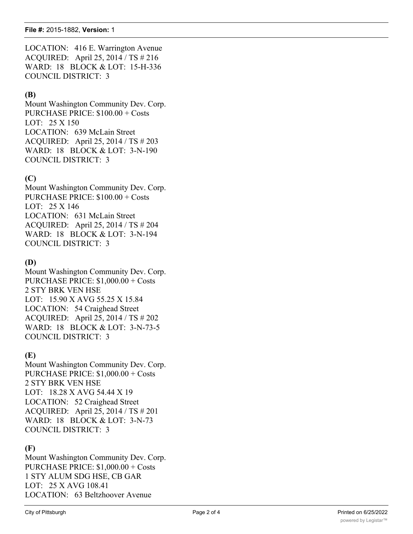LOCATION: 416 E. Warrington Avenue ACQUIRED: April 25, 2014 / TS # 216 WARD: 18 BLOCK & LOT: 15-H-336 COUNCIL DISTRICT: 3

#### **(B)**

Mount Washington Community Dev. Corp. PURCHASE PRICE: \$100.00 + Costs LOT: 25 X 150 LOCATION: 639 McLain Street ACQUIRED: April 25, 2014 / TS # 203 WARD: 18 BLOCK & LOT: 3-N-190 COUNCIL DISTRICT: 3

#### **(C)**

Mount Washington Community Dev. Corp. PURCHASE PRICE: \$100.00 + Costs LOT: 25 X 146 LOCATION: 631 McLain Street ACQUIRED: April 25, 2014 / TS # 204 WARD: 18 BLOCK & LOT: 3-N-194 COUNCIL DISTRICT: 3

#### **(D)**

Mount Washington Community Dev. Corp. PURCHASE PRICE: \$1,000.00 + Costs 2 STY BRK VEN HSE LOT: 15.90 X AVG 55.25 X 15.84 LOCATION: 54 Craighead Street ACQUIRED: April 25, 2014 / TS # 202 WARD: 18 BLOCK & LOT: 3-N-73-5 COUNCIL DISTRICT: 3

#### **(E)**

Mount Washington Community Dev. Corp. PURCHASE PRICE: \$1,000.00 + Costs 2 STY BRK VEN HSE LOT: 18.28 X AVG 54.44 X 19 LOCATION: 52 Craighead Street ACQUIRED: April 25, 2014 / TS # 201 WARD: 18 BLOCK & LOT: 3-N-73 COUNCIL DISTRICT: 3

## **(F)**

Mount Washington Community Dev. Corp. PURCHASE PRICE: \$1,000.00 + Costs 1 STY ALUM SDG HSE, CB GAR LOT: 25 X AVG 108.41 LOCATION: 63 Beltzhoover Avenue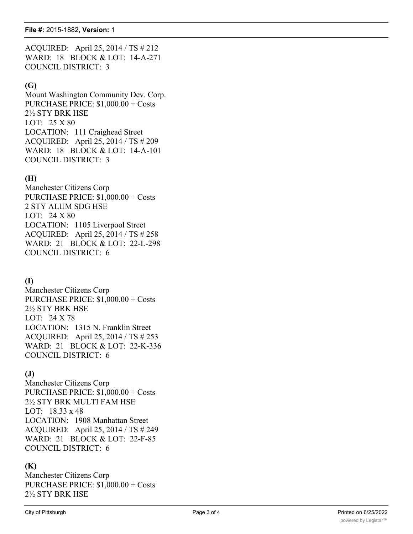ACQUIRED: April 25, 2014 / TS # 212 WARD: 18 BLOCK & LOT: 14-A-271 COUNCIL DISTRICT: 3

#### **(G)**

Mount Washington Community Dev. Corp. PURCHASE PRICE: \$1,000.00 + Costs 2½ STY BRK HSE LOT: 25 X 80 LOCATION: 111 Craighead Street ACQUIRED: April 25, 2014 / TS # 209 WARD: 18 BLOCK & LOT: 14-A-101 COUNCIL DISTRICT: 3

## **(H)**

Manchester Citizens Corp PURCHASE PRICE: \$1,000.00 + Costs 2 STY ALUM SDG HSE LOT: 24 X 80 LOCATION: 1105 Liverpool Street ACQUIRED: April 25, 2014 / TS # 258 WARD: 21 BLOCK & LOT: 22-L-298 COUNCIL DISTRICT: 6

## **(I)**

Manchester Citizens Corp PURCHASE PRICE: \$1,000.00 + Costs 2½ STY BRK HSE LOT: 24 X 78 LOCATION: 1315 N. Franklin Street ACQUIRED: April 25, 2014 / TS # 253 WARD: 21 BLOCK & LOT: 22-K-336 COUNCIL DISTRICT: 6

## **(J)**

Manchester Citizens Corp PURCHASE PRICE: \$1,000.00 + Costs 2½ STY BRK MULTI FAM HSE LOT: 18.33 x 48 LOCATION: 1908 Manhattan Street ACQUIRED: April 25, 2014 / TS # 249 WARD: 21 BLOCK & LOT: 22-F-85 COUNCIL DISTRICT: 6

## **(K)**

Manchester Citizens Corp PURCHASE PRICE: \$1,000.00 + Costs 2½ STY BRK HSE